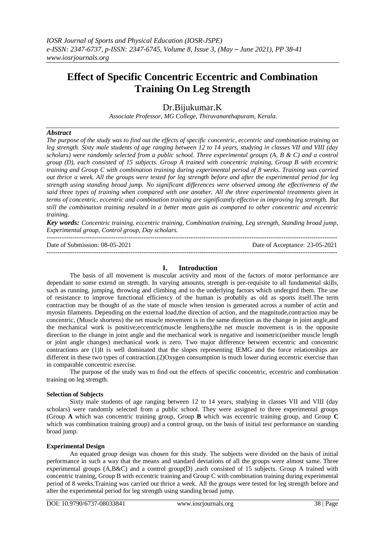# **Effect of Specific Concentric Eccentric and Combination Training On Leg Strength**

Dr.Bijukumar.K

*Associate Professor, MG College, Thiruvananthapuram, Kerala.*

### *Abstract*

*The purpose of the study was to find out the effects of specific concentric, eccentric and combination training on leg strength. Sixty male students of age ranging between 12 to 14 years, studying in classes VII and VIII (day scholars) were randomly selected from a public school. Three experimental groups (A, B & C) and a control group (D), each consisted of 15 subjects. Group A trained with concentric training, Group B with eccentric training and Group C with combination training during experimental period of 8 weeks. Training was carried out thrice a week. All the groups were tested for leg strength before and after the experimental period for leg strength using standing broad jump. No significant differences were observed among the effectiveness of the said three types of training when compared with one another. All the three experimental treatments given in terms of concentric, eccentric and combination training are significantly effective in improving leg strength. But still the combination training resulted in a better mean gain as compared to other concentric and eccentric training.*

*Key words: Concentric training, eccentric training, Combination training, Leg strength, Standing broad jump, Experimental group, Control group, Day scholars.*

---------------------------------------------------------------------------------------------------------------------------------------

Date of Submission: 08-05-2021 Date of Acceptance: 23-05-2021 ---------------------------------------------------------------------------------------------------------------------------------------

# **I. Introduction**

The basis of all movement is muscular activity and most of the factors of motor performance are dependant to some extend on strength. In varying amounts, strength is pre-requisite to all fundamental skills, such as running, jumping, throwing and climbing and to the underlying factors which undergird them. The use of resistance to improve functional efficiency of the human is probably as old as sports itself.The term contraction may be thought of as the state of muscle when tension is generated across a number of actin and myosin filaments. Depending on the external load,the direction of action, and the magnitude,contraction may be concentric, (Muscle shortens) the net muscle movement is in the same direction as the change in joint angle,and the mechanical work is positive;eccentric(muscle lengthens),the net muscle movement is in the opposite direction to the change in joint angle and the mechanical work is negative and isometric(neither muscle length or joint angle changes) mechanical work is zero. Two major difference between eccentric and concentric contractions are (1)It is well dominated that the slopes representing IEMG and the force relationships are different in these two types of contraction.(2)Oxygen consumption is much lower during eccentric exercise than in comparable concentric exercise.

The purpose of the study was to find out the effects of specific concentric, eccentric and combination training on leg strength.

### **Selection of Subjects**

Sixty male students of age ranging between 12 to 14 years, studying in classes VII and VIII (day scholars) were randomly selected from a public school. They were assigned to three experimental groups (Group **A** which was concentric training group, Group **B** which was eccentric training group, and Group **C** which was combination training group) and a control group, on the basis of initial test performance on standing broad jump.

#### **Experimental Design**

An equated group design was chosen for this study. The subjects were divided on the basis of initial performance in such a way that the means and standard deviations of all the groups were almost same. Three experimental groups (A,B&C) and a control group(D) ,each consisted of 15 subjects. Group A trained with concentric training, Group B with eccentric training and Group C with combination training during experimental period of 8 weeks.Training was carried out thrice a week. All the groups were tested for leg strength before and after the experimental period for leg strength using standing broad jump.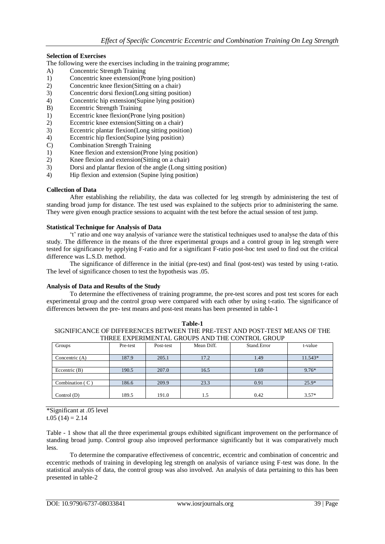# **Selection of Exercises**

- The following were the exercises including in the training programme;
- A) Concentric Strength Training
- 1) Concentric knee extension(Prone lying position)
- 2) Concentric knee flexion(Sitting on a chair)
- 3) Concentric dorsi flexion(Long sitting position)
- 4) Concentric hip extension(Supine lying position)
- B) Eccentric Strength Training
- 1) Eccentric knee flexion(Prone lying position)
- 2) Eccentric knee extension(Sitting on a chair)
- 3) Eccentric plantar flexion(Long sitting position)
- 4) Eccentric hip flexion(Supine lying position)
- C) Combination Strength Training
- 1) Knee flexion and extension(Prone lying position)
- 2) Knee flexion and extension(Sitting on a chair)
- 3) Dorsi and plantar flexion of the angle (Long sitting position)
- 4) Hip flexion and extension (Supine lying position)

#### **Collection of Data**

After establishing the reliability, the data was collected for leg strength by administering the test of standing broad jump for distance. The test used was explained to the subjects prior to administering the same. They were given enough practice sessions to acquaint with the test before the actual session of test jump.

#### **Statistical Technique for Analysis of Data**

't' ratio and one way analysis of variance were the statistical techniques used to analyse the data of this study. The difference in the means of the three experimental groups and a control group in leg strength were tested for significance by applying F-ratio and for a significant F-ratio post-hoc test used to find out the critical difference was L.S.D. method.

The significance of difference in the initial (pre-test) and final (post-test) was tested by using t-ratio. The level of significance chosen to test the hypothesis was .05.

#### **Analysis of Data and Results of the Study**

To determine the effectiveness of training programme, the pre-test scores and post test scores for each experimental group and the control group were compared with each other by using t-ratio. The significance of differences between the pre- test means and post-test means has been presented in table-1

| Table-1                                                                     |
|-----------------------------------------------------------------------------|
| SIGNIFICANCE OF DIFFERENCES BETWEEN THE PRE-TEST AND POST-TEST MEANS OF THE |
| THREE EXPERIMENTAL GROUPS AND THE CONTROL GROUP                             |

| <u>IIINDD DAIBNIDHIID ONOOLD AHD TIID CONTINOD ONOOL</u> |          |           |            |             |         |  |
|----------------------------------------------------------|----------|-----------|------------|-------------|---------|--|
| Groups                                                   | Pre-test | Post-test | Mean Diff. | Stand.Error | t-value |  |
|                                                          |          |           |            |             |         |  |
|                                                          |          |           |            |             |         |  |
| Concentric $(A)$                                         | 187.9    | 205.1     | 17.2       | 1.49        | 11.543* |  |
|                                                          |          |           |            |             |         |  |
|                                                          |          |           |            |             |         |  |
| Eccentric $(B)$                                          | 190.5    | 207.0     | 16.5       | 1.69        | $9.76*$ |  |
|                                                          |          |           |            |             |         |  |
|                                                          |          |           |            |             |         |  |
| Combination $(C)$                                        | 186.6    | 209.9     | 23.3       | 0.91        | $25.9*$ |  |
|                                                          |          |           |            |             |         |  |
|                                                          |          |           |            |             |         |  |
| Control $(D)$                                            | 189.5    | 191.0     | 1.5        | 0.42        | $3.57*$ |  |
|                                                          |          |           |            |             |         |  |

\*Significant at .05 level

t.05  $(14) = 2.14$ 

Table - 1 show that all the three experimental groups exhibited significant improvement on the performance of standing broad jump. Control group also improved performance significantly but it was comparatively much less.

To determine the comparative effectiveness of concentric, eccentric and combination of concentric and eccentric methods of training in developing leg strength on analysis of variance using F-test was done. In the statistical analysis of data, the control group was also involved. An analysis of data pertaining to this has been presented in table-2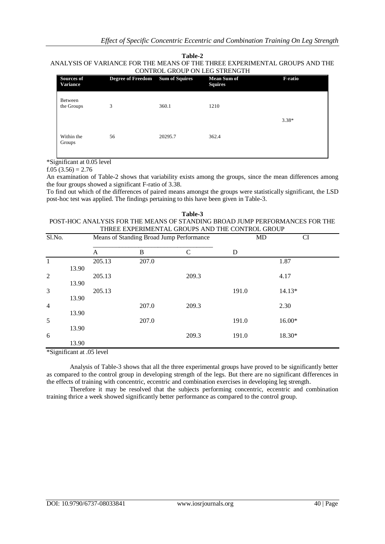**Table-2** ANALYSIS OF VARIANCE FOR THE MEANS OF THE THREE EXPERIMENTAL GROUPS AND THE CONTROL GROUP ON LEG STRENGTH

| Sources of<br><b>Variance</b> | <b>Degree of Freedom</b> | <b>Sum of Squires</b> | <b>Mean Sum of</b><br><b>Squires</b> | <b>F-ratio</b> |
|-------------------------------|--------------------------|-----------------------|--------------------------------------|----------------|
| Between<br>the Groups         | 3                        | 360.1                 | 1210                                 |                |
|                               |                          |                       |                                      | $3.38*$        |
| Within the<br>Groups          | 56                       | 20295.7               | 362.4                                |                |

\*Significant at 0.05 level

f.05  $(3.56) = 2.76$ 

An examination of Table-2 shows that variability exists among the groups, since the mean differences among the four groups showed a significant F-ratio of 3.38.

To find out which of the differences of paired means amongst the groups were statistically significant, the LSD post-hoc test was applied. The findings pertaining to this have been given in Table-3.

| Table-3                                                                     |
|-----------------------------------------------------------------------------|
| POST-HOC ANALYSIS FOR THE MEANS OF STANDING BROAD JUMP PERFORMANCES FOR THE |
| THREE EXPERIMENTAL GROUPS AND THE CONTROL GROUP                             |

| Sl.No.                 |       | Means of Standing Broad Jump Performance         |              |               | MD    | <b>CI</b> |
|------------------------|-------|--------------------------------------------------|--------------|---------------|-------|-----------|
|                        |       | A                                                | $\, {\bf B}$ | $\mathcal{C}$ | D     |           |
| $\mathbf{1}$           |       | 205.13                                           | 207.0        |               |       | 1.87      |
|                        | 13.90 |                                                  |              |               |       |           |
| $\overline{2}$         |       | 205.13                                           |              | 209.3         |       | 4.17      |
|                        | 13.90 |                                                  |              |               |       |           |
| 3                      |       | 205.13                                           |              |               | 191.0 | 14.13*    |
|                        | 13.90 |                                                  |              |               |       |           |
| $\overline{4}$         |       |                                                  | 207.0        | 209.3         |       | 2.30      |
|                        | 13.90 |                                                  |              |               |       |           |
| 5                      |       |                                                  | 207.0        |               | 191.0 | $16.00*$  |
|                        | 13.90 |                                                  |              |               |       |           |
| 6                      |       |                                                  |              | 209.3         | 191.0 | 18.30*    |
|                        | 13.90 |                                                  |              |               |       |           |
| 1.01<br>$\cdot$ $\sim$ |       | $\sim$ $\sim$ $\sim$ $\sim$ $\sim$ $\sim$ $\sim$ |              |               |       |           |

\*Significant at .05 level

Analysis of Table-3 shows that all the three experimental groups have proved to be significantly better as compared to the control group in developing strength of the legs. But there are no significant differences in the effects of training with concentric, eccentric and combination exercises in developing leg strength.

Therefore it may be resolved that the subjects performing concentric, eccentric and combination training thrice a week showed significantly better performance as compared to the control group.